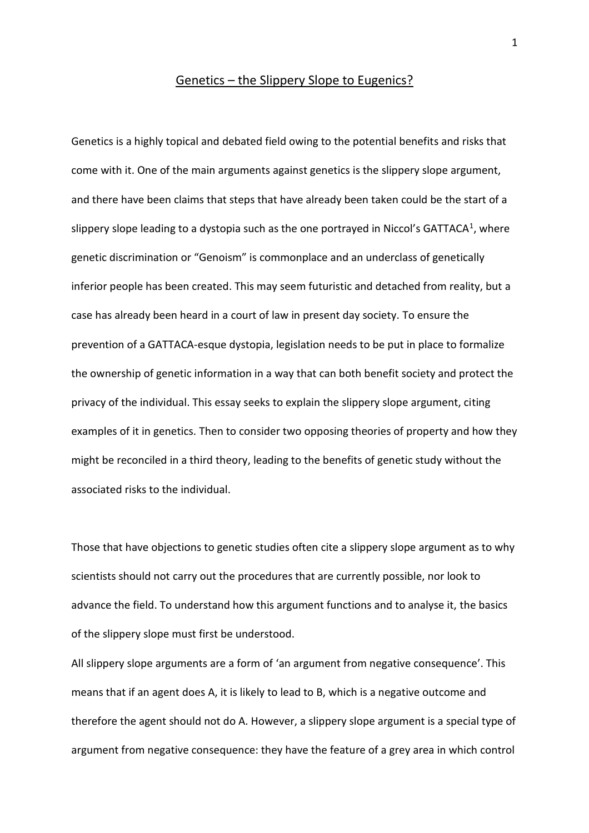#### Genetics - the Slippery Slope to Eugenics?

Genetics is a highly topical and debated field owing to the potential benefits and risks that come with it. One of the main arguments against genetics is the slippery slope argument, and there have been claims that steps that have already been taken could be the start of a slippery slope leading to a dystopia such as the one portrayed in Niccol's GATTACA<sup>1</sup>, where genetic discrimination or "Genoism" is commonplace and an underclass of genetically inferior people has been created. This may seem futuristic and detached from reality, but a case has already been heard in a court of law in present day society. To ensure the prevention of a GATTACA-esque dystopia, legislation needs to be put in place to formalize the ownership of genetic information in a way that can both benefit society and protect the privacy of the individual. This essay seeks to explain the slippery slope argument, citing examples of it in genetics. Then to consider two opposing theories of property and how they might be reconciled in a third theory, leading to the benefits of genetic study without the associated risks to the individual.

Those that have objections to genetic studies often cite a slippery slope argument as to why scientists should not carry out the procedures that are currently possible, nor look to advance the field. To understand how this argument functions and to analyse it, the basics of the slippery slope must first be understood.

All slippery slope arguments are a form of 'an argument from negative consequence'. This means that if an agent does A, it is likely to lead to B, which is a negative outcome and therefore the agent should not do A. However, a slippery slope argument is a special type of argument from negative consequence: they have the feature of a grey area in which control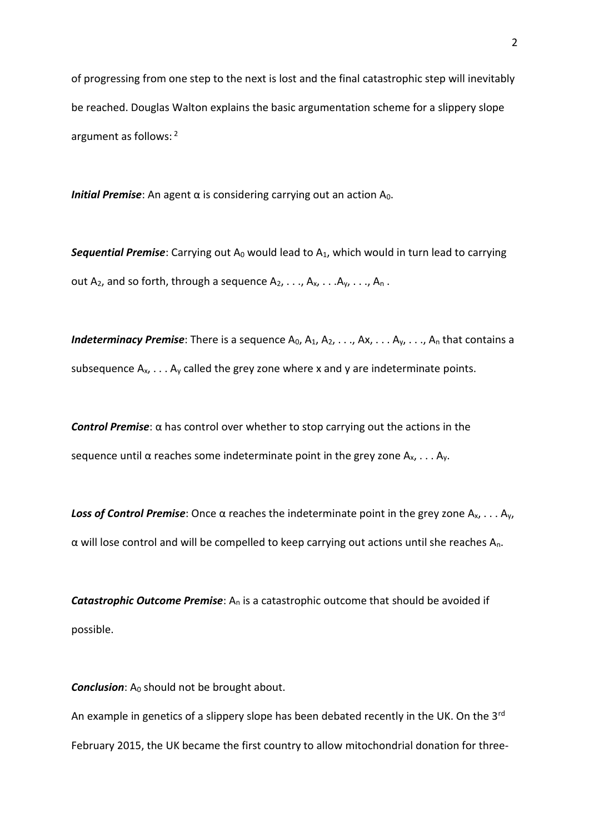of progressing from one step to the next is lost and the final catastrophic step will inevitably be reached. Douglas Walton explains the basic argumentation scheme for a slippery slope argument as follows: <sup>2</sup>

*Initial Premise*: An agent α is considering carrying out an action A<sub>0</sub>.

**Sequential Premise**: Carrying out A<sub>0</sub> would lead to A<sub>1</sub>, which would in turn lead to carrying out A<sub>2</sub>, and so forth, through a sequence  $A_2, \ldots, A_x, \ldots, A_y, \ldots, A_n$ .

*Indeterminacy Premise*: There is a sequence A<sub>0</sub>, A<sub>1</sub>, A<sub>2</sub>, . . ., Ax, . . . A<sub>y</sub>, . . ., A<sub>n</sub> that contains a subsequence  $A_x$ , . . .  $A_y$  called the grey zone where x and y are indeterminate points.

*Control Premise*: α has control over whether to stop carrying out the actions in the sequence until  $\alpha$  reaches some indeterminate point in the grey zone  $A_x$ , ...  $A_y$ .

*Loss of Control Premise*: Once α reaches the indeterminate point in the grey zone Ax, . . . Ay,  $\alpha$  will lose control and will be compelled to keep carrying out actions until she reaches A<sub>n</sub>.

*Catastrophic Outcome Premise*: A<sub>n</sub> is a catastrophic outcome that should be avoided if possible.

**Conclusion**: A<sub>0</sub> should not be brought about.

An example in genetics of a slippery slope has been debated recently in the UK. On the 3<sup>rd</sup> February 2015, the UK became the first country to allow mitochondrial donation for three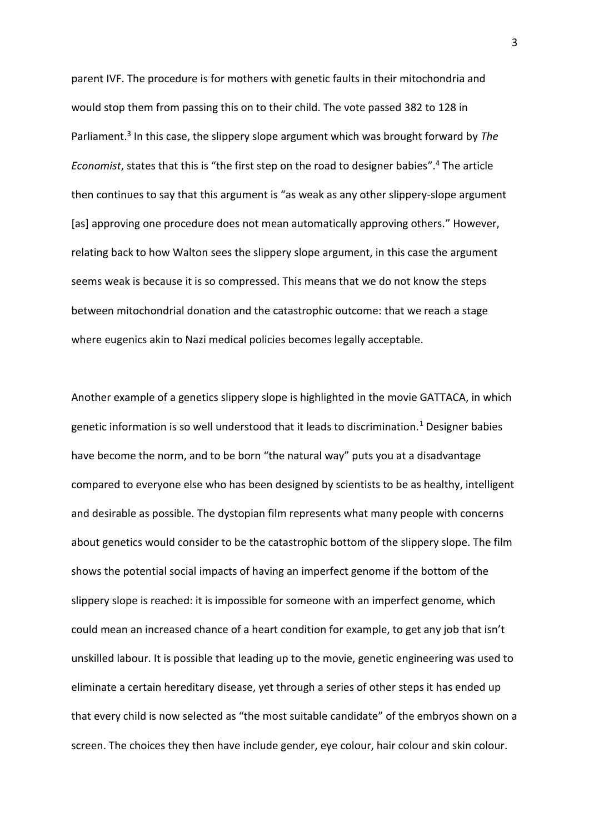parent IVF. The procedure is for mothers with genetic faults in their mitochondria and would stop them from passing this on to their child. The vote passed 382 to 128 in Parliament.<sup>3</sup> In this case, the slippery slope argument which was brought forward by The *Economist*, states that this is "the first step on the road to designer babies". <sup>4</sup> The article then continues to say that this argument is "as weak as any other slippery-slope argument [as] approving one procedure does not mean automatically approving others." However, relating back to how Walton sees the slippery slope argument, in this case the argument seems weak is because it is so compressed. This means that we do not know the steps between mitochondrial donation and the catastrophic outcome: that we reach a stage where eugenics akin to Nazi medical policies becomes legally acceptable.

Another example of a genetics slippery slope is highlighted in the movie GATTACA, in which genetic information is so well understood that it leads to discrimination.<sup>1</sup> Designer babies have become the norm, and to be born "the natural way" puts you at a disadvantage compared to everyone else who has been designed by scientists to be as healthy, intelligent and desirable as possible. The dystopian film represents what many people with concerns about genetics would consider to be the catastrophic bottom of the slippery slope. The film shows the potential social impacts of having an imperfect genome if the bottom of the slippery slope is reached: it is impossible for someone with an imperfect genome, which could mean an increased chance of a heart condition for example, to get any job that isn't unskilled labour. It is possible that leading up to the movie, genetic engineering was used to eliminate a certain hereditary disease, yet through a series of other steps it has ended up that every child is now selected as "the most suitable candidate" of the embryos shown on a screen. The choices they then have include gender, eye colour, hair colour and skin colour.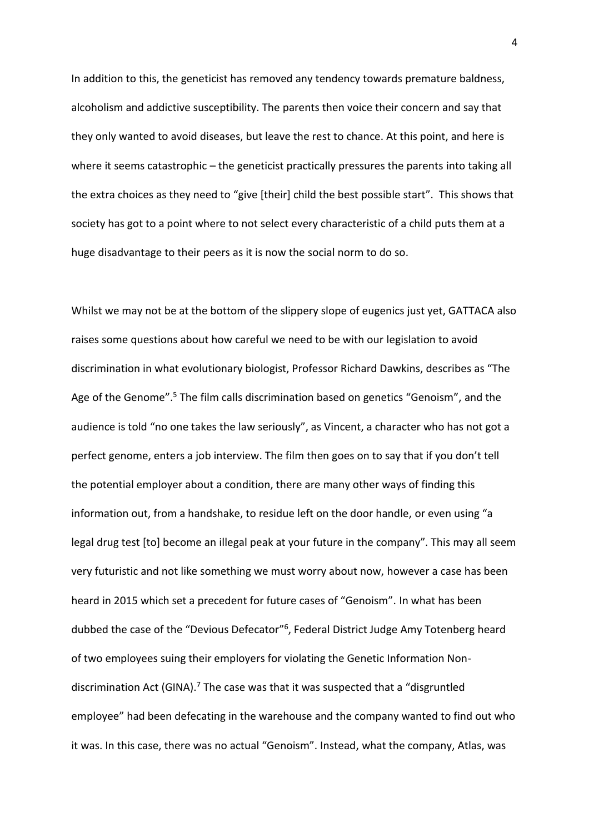In addition to this, the geneticist has removed any tendency towards premature baldness, alcoholism and addictive susceptibility. The parents then voice their concern and say that they only wanted to avoid diseases, but leave the rest to chance. At this point, and here is where it seems catastrophic – the geneticist practically pressures the parents into taking all the extra choices as they need to "give [their] child the best possible start". This shows that society has got to a point where to not select every characteristic of a child puts them at a huge disadvantage to their peers as it is now the social norm to do so.

Whilst we may not be at the bottom of the slippery slope of eugenics just yet, GATTACA also raises some questions about how careful we need to be with our legislation to avoid discrimination in what evolutionary biologist, Professor Richard Dawkins, describes as "The Age of the Genome".<sup>5</sup> The film calls discrimination based on genetics "Genoism", and the audience is told "no one takes the law seriously", as Vincent, a character who has not got a perfect genome, enters a job interview. The film then goes on to say that if you don't tell the potential employer about a condition, there are many other ways of finding this information out, from a handshake, to residue left on the door handle, or even using "a legal drug test [to] become an illegal peak at your future in the company". This may all seem very futuristic and not like something we must worry about now, however a case has been heard in 2015 which set a precedent for future cases of "Genoism". In what has been dubbed the case of the "Devious Defecator"<sup>6</sup>, Federal District Judge Amy Totenberg heard of two employees suing their employers for violating the Genetic Information Nondiscrimination Act (GINA).<sup>7</sup> The case was that it was suspected that a "disgruntled employee" had been defecating in the warehouse and the company wanted to find out who it was. In this case, there was no actual "Genoism". Instead, what the company, Atlas, was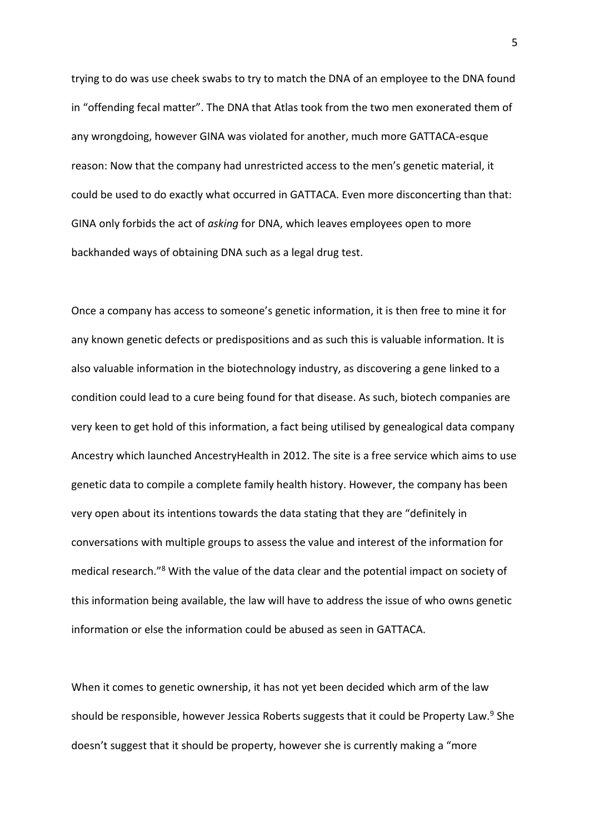trying to do was use cheek swabs to try to match the DNA of an employee to the DNA found in "offending fecal matter". The DNA that Atlas took from the two men exonerated them of any wrongdoing, however GINA was violated for another, much more GATTACA-esque reason: Now that the company had unrestricted access to the men's genetic material, it could be used to do exactly what occurred in GATTACA. Even more disconcerting than that: GINA only forbids the act of *asking* for DNA, which leaves employees open to more backhanded ways of obtaining DNA such as a legal drug test.

Once a company has access to someone's genetic information, it is then free to mine it for any known genetic defects or predispositions and as such this is valuable information. It is also valuable information in the biotechnology industry, as discovering a gene linked to a condition could lead to a cure being found for that disease. As such, biotech companies are very keen to get hold of this information, a fact being utilised by genealogical data company Ancestry which launched AncestryHealth in 2012. The site is a free service which aims to use genetic data to compile a complete family health history. However, the company has been very open about its intentions towards the data stating that they are "definitely in conversations with multiple groups to assess the value and interest of the information for medical research."<sup>8</sup> With the value of the data clear and the potential impact on society of this information being available, the law will have to address the issue of who owns genetic information or else the information could be abused as seen in GATTACA.

When it comes to genetic ownership, it has not yet been decided which arm of the law should be responsible, however Jessica Roberts suggests that it could be Property Law.<sup>9</sup> She doesn't suggest that it should be property, however she is currently making a "more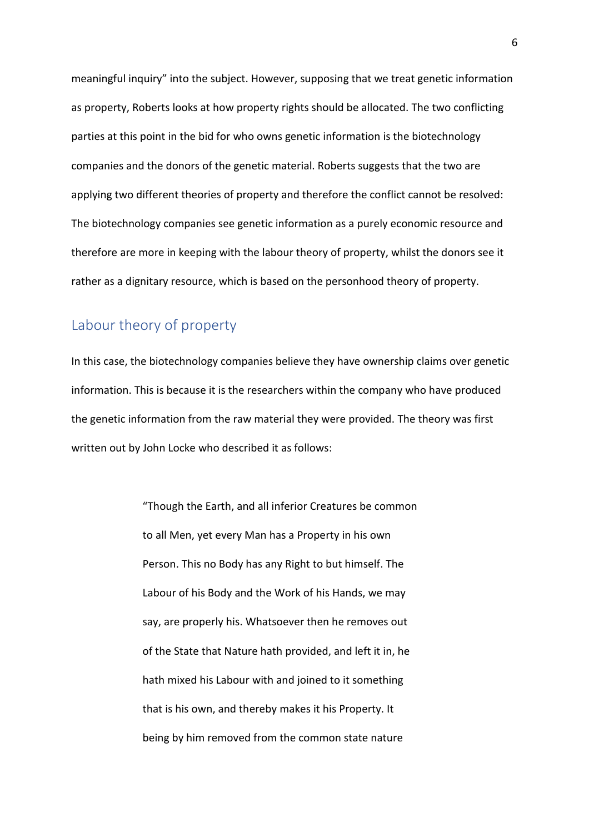meaningful inquiry" into the subject. However, supposing that we treat genetic information as property, Roberts looks at how property rights should be allocated. The two conflicting parties at this point in the bid for who owns genetic information is the biotechnology companies and the donors of the genetic material. Roberts suggests that the two are applying two different theories of property and therefore the conflict cannot be resolved: The biotechnology companies see genetic information as a purely economic resource and therefore are more in keeping with the labour theory of property, whilst the donors see it rather as a dignitary resource, which is based on the personhood theory of property.

# Labour theory of property

In this case, the biotechnology companies believe they have ownership claims over genetic information. This is because it is the researchers within the company who have produced the genetic information from the raw material they were provided. The theory was first written out by John Locke who described it as follows:

> "Though the Earth, and all inferior Creatures be common to all Men, yet every Man has a Property in his own Person. This no Body has any Right to but himself. The Labour of his Body and the Work of his Hands, we may say, are properly his. Whatsoever then he removes out of the State that Nature hath provided, and left it in, he hath mixed his Labour with and joined to it something that is his own, and thereby makes it his Property. It being by him removed from the common state nature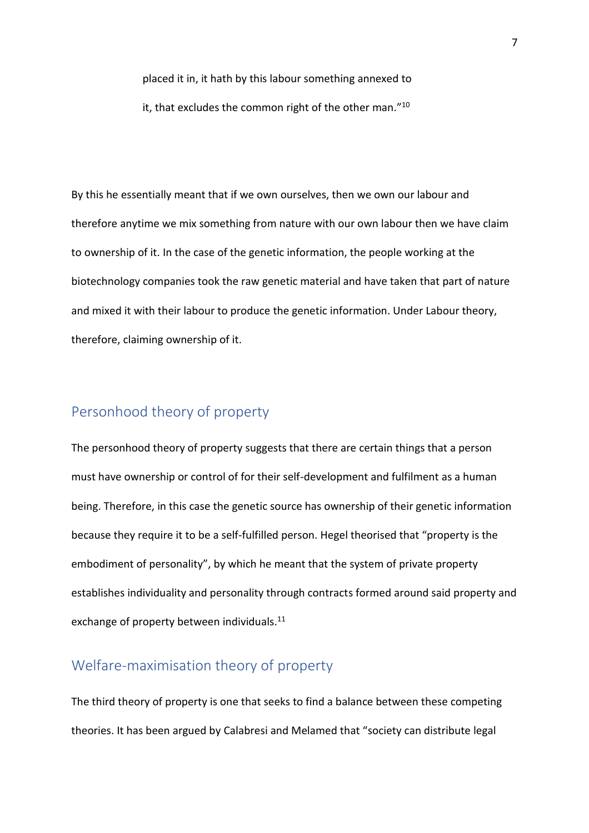placed it in, it hath by this labour something annexed to

it, that excludes the common right of the other man." $^{\rm 10}$ 

By this he essentially meant that if we own ourselves, then we own our labour and therefore anytime we mix something from nature with our own labour then we have claim to ownership of it. In the case of the genetic information, the people working at the biotechnology companies took the raw genetic material and have taken that part of nature and mixed it with their labour to produce the genetic information. Under Labour theory, therefore, claiming ownership of it.

## Personhood theory of property

The personhood theory of property suggests that there are certain things that a person must have ownership or control of for their self-development and fulfilment as a human being. Therefore, in this case the genetic source has ownership of their genetic information because they require it to be a self-fulfilled person. Hegel theorised that "property is the embodiment of personality", by which he meant that the system of private property establishes individuality and personality through contracts formed around said property and exchange of property between individuals.<sup>11</sup>

### Welfare-maximisation theory of property

The third theory of property is one that seeks to find a balance between these competing theories. It has been argued by Calabresi and Melamed that "society can distribute legal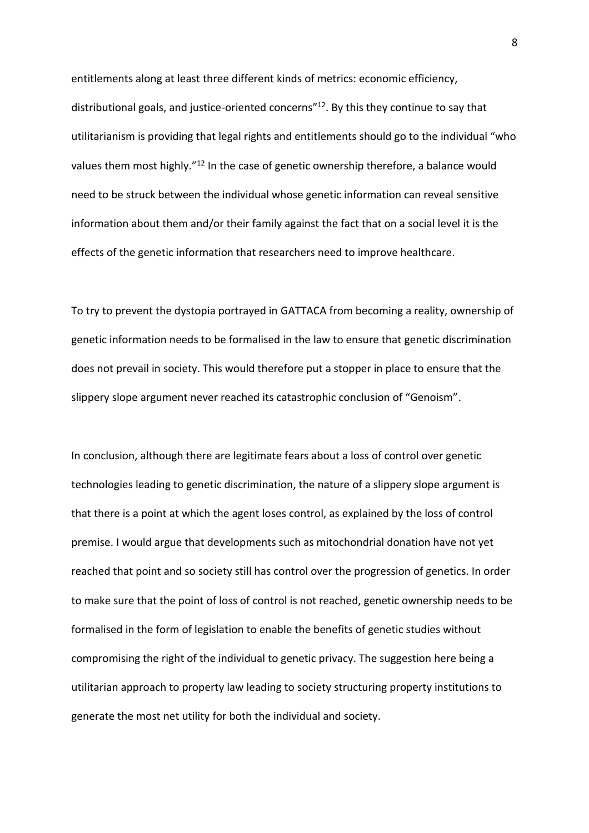entitlements along at least three different kinds of metrics: economic efficiency, distributional goals, and justice-oriented concerns" <sup>12</sup>. By this they continue to say that utilitarianism is providing that legal rights and entitlements should go to the individual "who values them most highly."<sup>12</sup> In the case of genetic ownership therefore, a balance would need to be struck between the individual whose genetic information can reveal sensitive information about them and/or their family against the fact that on a social level it is the effects of the genetic information that researchers need to improve healthcare.

To try to prevent the dystopia portrayed in GATTACA from becoming a reality, ownership of genetic information needs to be formalised in the law to ensure that genetic discrimination does not prevail in society. This would therefore put a stopper in place to ensure that the slippery slope argument never reached its catastrophic conclusion of "Genoism".

In conclusion, although there are legitimate fears about a loss of control over genetic technologies leading to genetic discrimination, the nature of a slippery slope argument is that there is a point at which the agent loses control, as explained by the loss of control premise. I would argue that developments such as mitochondrial donation have not yet reached that point and so society still has control over the progression of genetics. In order to make sure that the point of loss of control is not reached, genetic ownership needs to be formalised in the form of legislation to enable the benefits of genetic studies without compromising the right of the individual to genetic privacy. The suggestion here being a utilitarian approach to property law leading to society structuring property institutions to generate the most net utility for both the individual and society.